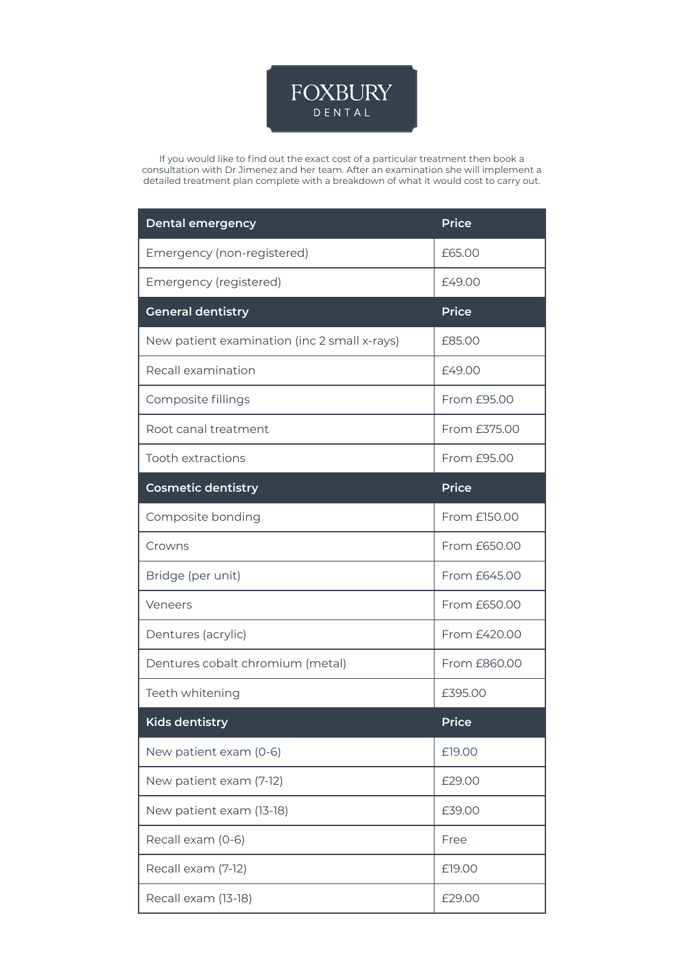

If you would like to find out the exact cost of a particular treatment then book a consultation with Dr Jimenez and her team. After an examination she will implement a detailed treatment plan complete with a breakdown of what it would cost to carry out.

| <b>Dental emergency</b>                      | <b>Price</b> |
|----------------------------------------------|--------------|
| Emergency (non-registered)                   | £65.00       |
| Emergency (registered)                       | £49.00       |
| <b>General dentistry</b>                     | <b>Price</b> |
| New patient examination (inc 2 small x-rays) | £85.00       |
| Recall examination                           | £49.00       |
| Composite fillings                           | From £95.00  |
| Root canal treatment                         | From £375.00 |
| <b>Tooth extractions</b>                     | From £95.00  |
| <b>Cosmetic dentistry</b>                    | <b>Price</b> |
| Composite bonding                            | From £150.00 |
| Crowns                                       | From £650.00 |
| Bridge (per unit)                            | From £645.00 |
| Veneers                                      | From £650.00 |
| Dentures (acrylic)                           | From £420.00 |
| Dentures cobalt chromium (metal)             | From £860.00 |
| Teeth whitening                              | £395.00      |
| <u>Kids dentistry</u>                        | <b>Price</b> |
| New patient exam (0-6)                       | £19.00       |
| New patient exam (7-12)                      | £29.00       |
| New patient exam (13-18)                     | £39.00       |
| Recall exam (0-6)                            | Free         |
| Recall exam (7-12)                           | £19.00       |
| Recall exam (13-18)                          | £29.00       |